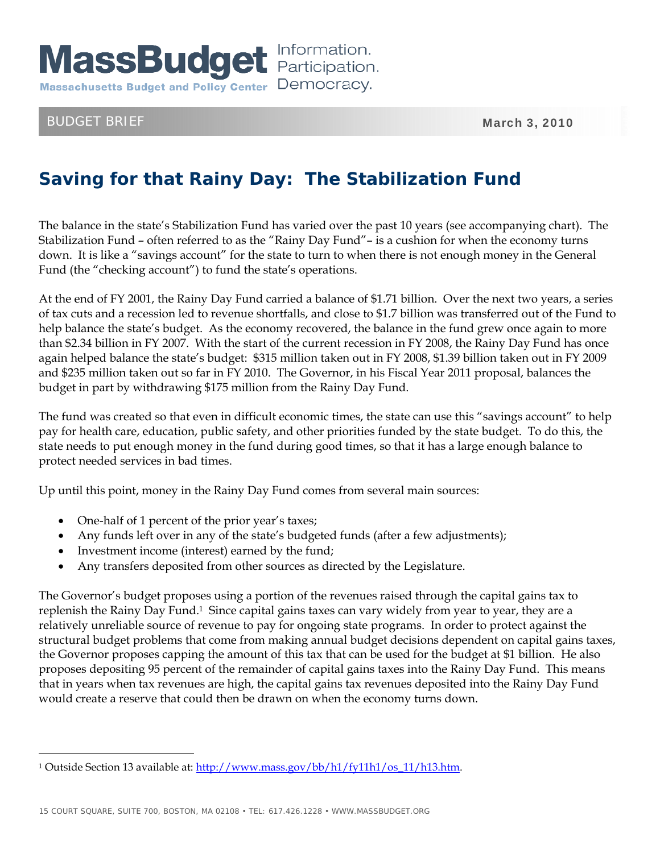

## BUDGET BRIEF MARCH 3, 2010

 $\overline{a}$ 

## **Saving for that Rainy Day: The Stabilization Fund**

The balance in the state's Stabilization Fund has varied over the past 10 years (see accompanying chart). The Stabilization Fund – often referred to as the "Rainy Day Fund"– is a cushion for when the economy turns down. It is like a "savings account" for the state to turn to when there is not enough money in the General Fund (the "checking account") to fund the state's operations.

At the end of FY 2001, the Rainy Day Fund carried a balance of \$1.71 billion. Over the next two years, a series of tax cuts and a recession led to revenue shortfalls, and close to \$1.7 billion was transferred out of the Fund to help balance the state's budget. As the economy recovered, the balance in the fund grew once again to more than \$2.34 billion in FY 2007. With the start of the current recession in FY 2008, the Rainy Day Fund has once again helped balance the state's budget: \$315 million taken out in FY 2008, \$1.39 billion taken out in FY 2009 and \$235 million taken out so far in FY 2010. The Governor, in his Fiscal Year 2011 proposal, balances the budget in part by withdrawing \$175 million from the Rainy Day Fund.

The fund was created so that even in difficult economic times, the state can use this "savings account" to help pay for health care, education, public safety, and other priorities funded by the state budget. To do this, the state needs to put enough money in the fund during good times, so that it has a large enough balance to protect needed services in bad times.

Up until this point, money in the Rainy Day Fund comes from several main sources:

- One-half of 1 percent of the prior year's taxes;
- Any funds left over in any of the state's budgeted funds (after a few adjustments);
- Investment income (interest) earned by the fund;
- Any transfers deposited from other sources as directed by the Legislature.

The Governor's budget proposes using a portion of the revenues raised through the capital gains tax to replenish the Rainy Day Fund.1 Since capital gains taxes can vary widely from year to year, they are a relatively unreliable source of revenue to pay for ongoing state programs. In order to protect against the structural budget problems that come from making annual budget decisions dependent on capital gains taxes, the Governor proposes capping the amount of this tax that can be used for the budget at \$1 billion. He also proposes depositing 95 percent of the remainder of capital gains taxes into the Rainy Day Fund. This means that in years when tax revenues are high, the capital gains tax revenues deposited into the Rainy Day Fund would create a reserve that could then be drawn on when the economy turns down.

<sup>1</sup> Outside Section 13 available at: http://www.mass.gov/bb/h1/fy11h1/os\_11/h13.htm.